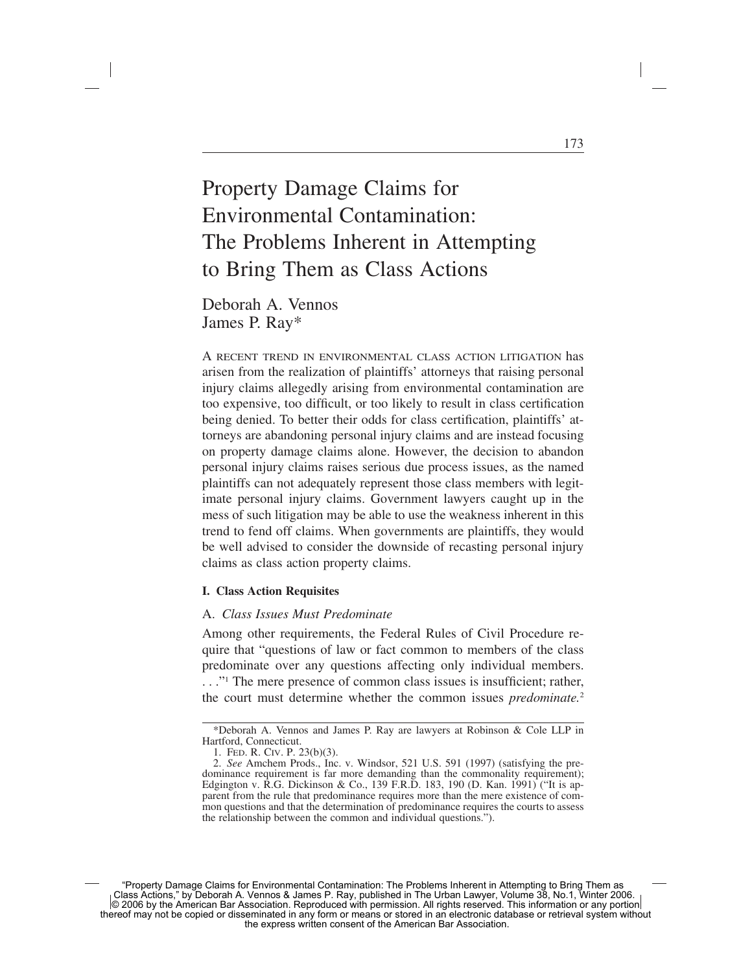# Property Damage Claims for Environmental Contamination: The Problems Inherent in Attempting to Bring Them as Class Actions

Deborah A. Vennos James P. Ray\*

A RECENT TREND IN ENVIRONMENTAL CLASS ACTION LITIGATION has arisen from the realization of plaintiffs' attorneys that raising personal injury claims allegedly arising from environmental contamination are too expensive, too difficult, or too likely to result in class certification being denied. To better their odds for class certification, plaintiffs' attorneys are abandoning personal injury claims and are instead focusing on property damage claims alone. However, the decision to abandon personal injury claims raises serious due process issues, as the named plaintiffs can not adequately represent those class members with legitimate personal injury claims. Government lawyers caught up in the mess of such litigation may be able to use the weakness inherent in this trend to fend off claims. When governments are plaintiffs, they would be well advised to consider the downside of recasting personal injury claims as class action property claims.

#### **I. Class Action Requisites**

#### A. *Class Issues Must Predominate*

Among other requirements, the Federal Rules of Civil Procedure require that "questions of law or fact common to members of the class predominate over any questions affecting only individual members. ..."<sup>1</sup> The mere presence of common class issues is insufficient; rather, the court must determine whether the common issues *predominate.*<sup>2</sup>

<sup>\*</sup>Deborah A. Vennos and James P. Ray are lawyers at Robinson & Cole LLP in Hartford, Connecticut.

<sup>1.</sup> FED. R. CIV. P. 23(b)(3).

<sup>2.</sup> *See* Amchem Prods., Inc. v. Windsor, 521 U.S. 591 (1997) (satisfying the predominance requirement is far more demanding than the commonality requirement); Edgington v. R.G. Dickinson & Co., 139 F.R.D. 183, 190 (D. Kan. 1991) ("It is apparent from the rule that predominance requires more than the mere existence of common questions and that the determination of predominance requires the courts to assess the relationship between the common and individual questions.").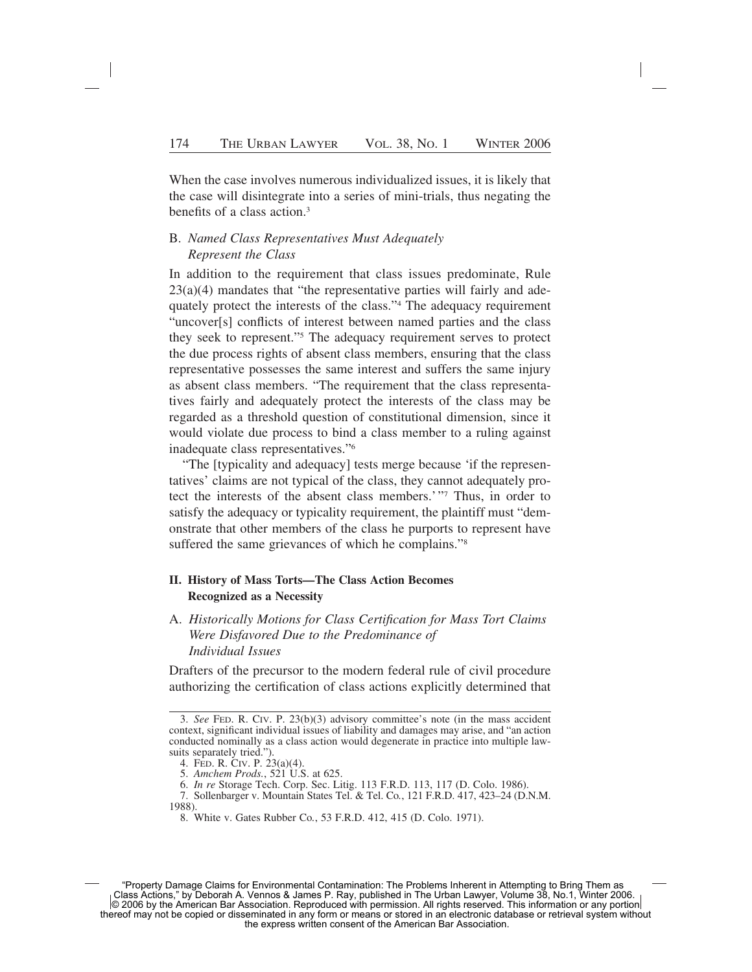When the case involves numerous individualized issues, it is likely that the case will disintegrate into a series of mini-trials, thus negating the benefits of a class action.3

### B. *Named Class Representatives Must Adequately Represent the Class*

In addition to the requirement that class issues predominate, Rule 23(a)(4) mandates that "the representative parties will fairly and adequately protect the interests of the class."4 The adequacy requirement "uncover[s] conflicts of interest between named parties and the class they seek to represent."5 The adequacy requirement serves to protect the due process rights of absent class members, ensuring that the class representative possesses the same interest and suffers the same injury as absent class members. "The requirement that the class representatives fairly and adequately protect the interests of the class may be regarded as a threshold question of constitutional dimension, since it would violate due process to bind a class member to a ruling against inadequate class representatives."6

"The [typicality and adequacy] tests merge because 'if the representatives' claims are not typical of the class, they cannot adequately protect the interests of the absent class members.'"7 Thus, in order to satisfy the adequacy or typicality requirement, the plaintiff must "demonstrate that other members of the class he purports to represent have suffered the same grievances of which he complains."<sup>8</sup>

## **II. History of Mass Torts—The Class Action Becomes Recognized as a Necessity**

A. *Historically Motions for Class Certification for Mass Tort Claims Were Disfavored Due to the Predominance of Individual Issues*

Drafters of the precursor to the modern federal rule of civil procedure authorizing the certification of class actions explicitly determined that

<sup>3.</sup> *See* FED. R. CIV. P. 23(b)(3) advisory committee's note (in the mass accident context, significant individual issues of liability and damages may arise, and "an action conducted nominally as a class action would degenerate in practice into multiple lawsuits separately tried.").

<sup>4.</sup> FED. R. CIV. P. 23(a)(4).

<sup>5.</sup> *Amchem Prods.*, 521 U.S. at 625.

<sup>6.</sup> *In re* Storage Tech. Corp. Sec. Litig. 113 F.R.D. 113, 117 (D. Colo. 1986).

<sup>7.</sup> Sollenbarger v. Mountain States Tel. & Tel. Co*.*, 121 F.R.D. 417, 423–24 (D.N.M. 1988).

<sup>8.</sup> White v. Gates Rubber Co*.*, 53 F.R.D. 412, 415 (D. Colo. 1971).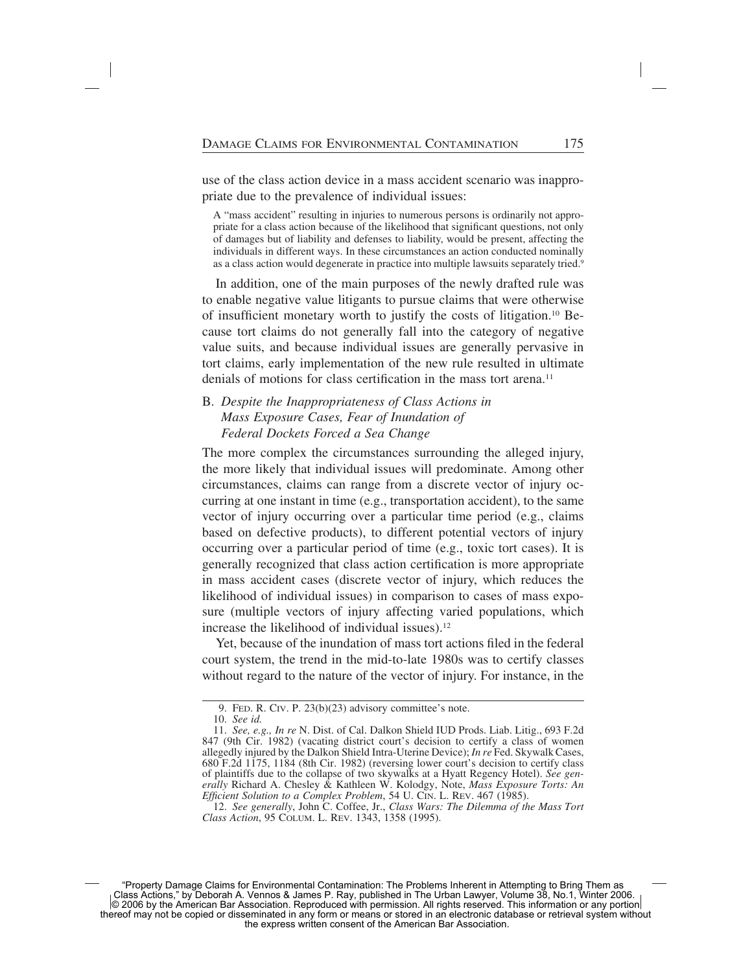use of the class action device in a mass accident scenario was inappropriate due to the prevalence of individual issues:

A "mass accident" resulting in injuries to numerous persons is ordinarily not appropriate for a class action because of the likelihood that significant questions, not only of damages but of liability and defenses to liability, would be present, affecting the individuals in different ways. In these circumstances an action conducted nominally as a class action would degenerate in practice into multiple lawsuits separately tried.<sup>9</sup>

In addition, one of the main purposes of the newly drafted rule was to enable negative value litigants to pursue claims that were otherwise of insufficient monetary worth to justify the costs of litigation.10 Because tort claims do not generally fall into the category of negative value suits, and because individual issues are generally pervasive in tort claims, early implementation of the new rule resulted in ultimate denials of motions for class certification in the mass tort arena.<sup>11</sup>

## B. *Despite the Inappropriateness of Class Actions in Mass Exposure Cases, Fear of Inundation of Federal Dockets Forced a Sea Change*

The more complex the circumstances surrounding the alleged injury, the more likely that individual issues will predominate. Among other circumstances, claims can range from a discrete vector of injury occurring at one instant in time (e.g., transportation accident), to the same vector of injury occurring over a particular time period (e.g., claims based on defective products), to different potential vectors of injury occurring over a particular period of time (e.g., toxic tort cases). It is generally recognized that class action certification is more appropriate in mass accident cases (discrete vector of injury, which reduces the likelihood of individual issues) in comparison to cases of mass exposure (multiple vectors of injury affecting varied populations, which increase the likelihood of individual issues).<sup>12</sup>

Yet, because of the inundation of mass tort actions filed in the federal court system, the trend in the mid-to-late 1980s was to certify classes without regard to the nature of the vector of injury. For instance, in the

<sup>9.</sup> FED. R. CIV. P. 23(b)(23) advisory committee's note.

<sup>10.</sup> *See id.*

<sup>11.</sup> *See, e.g., In re* N. Dist. of Cal. Dalkon Shield IUD Prods. Liab. Litig., 693 F.2d 847 (9th Cir. 1982) (vacating district court's decision to certify a class of women allegedly injured by the Dalkon Shield Intra-Uterine Device); *In re* Fed. Skywalk Cases, 680 F.2d 1175, 1184 (8th Cir. 1982) (reversing lower court's decision to certify class of plaintiffs due to the collapse of two skywalks at a Hyatt Regency Hotel). *See generally* Richard A. Chesley & Kathleen W. Kolodgy, Note, *Mass Exposure Torts: An Efficient Solution to a Complex Problem*, 54 U. CIN. L. REV. 467 (1985).

<sup>12.</sup> *See generally*, John C. Coffee, Jr., *Class Wars: The Dilemma of the Mass Tort Class Action*, 95 COLUM. L. REV. 1343, 1358 (1995).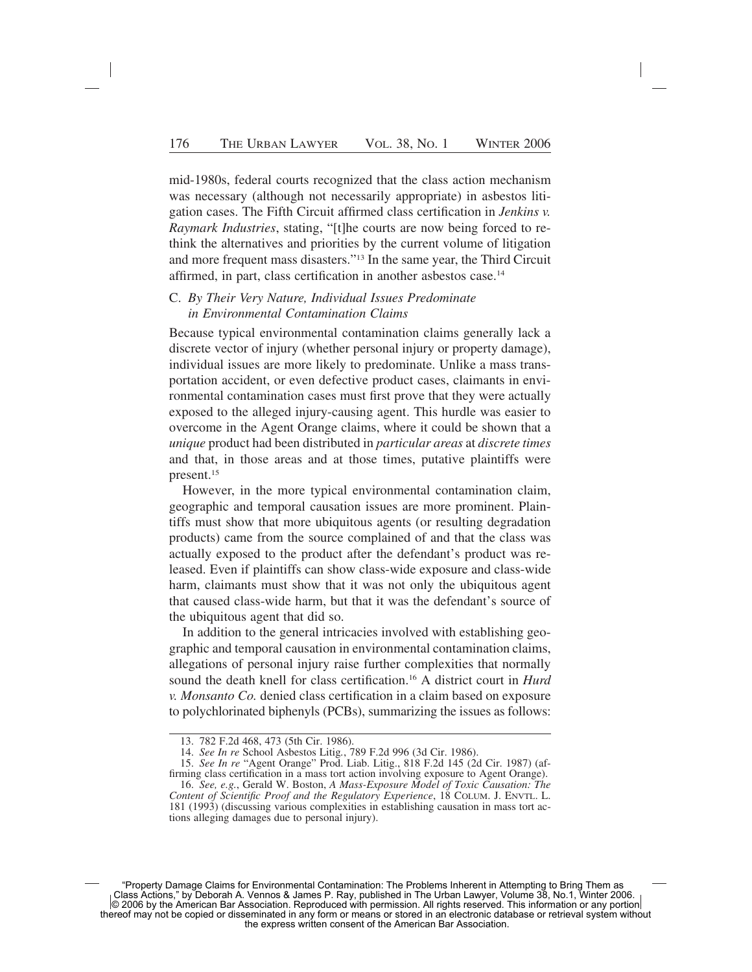mid-1980s, federal courts recognized that the class action mechanism was necessary (although not necessarily appropriate) in asbestos litigation cases. The Fifth Circuit affirmed class certification in *Jenkins v. Raymark Industries*, stating, "[t]he courts are now being forced to rethink the alternatives and priorities by the current volume of litigation and more frequent mass disasters."13 In the same year, the Third Circuit affirmed, in part, class certification in another asbestos case.14

### C. *By Their Very Nature, Individual Issues Predominate in Environmental Contamination Claims*

Because typical environmental contamination claims generally lack a discrete vector of injury (whether personal injury or property damage), individual issues are more likely to predominate. Unlike a mass transportation accident, or even defective product cases, claimants in environmental contamination cases must first prove that they were actually exposed to the alleged injury-causing agent. This hurdle was easier to overcome in the Agent Orange claims, where it could be shown that a *unique* product had been distributed in *particular areas* at *discrete times* and that, in those areas and at those times, putative plaintiffs were present.15

However, in the more typical environmental contamination claim, geographic and temporal causation issues are more prominent. Plaintiffs must show that more ubiquitous agents (or resulting degradation products) came from the source complained of and that the class was actually exposed to the product after the defendant's product was released. Even if plaintiffs can show class-wide exposure and class-wide harm, claimants must show that it was not only the ubiquitous agent that caused class-wide harm, but that it was the defendant's source of the ubiquitous agent that did so.

In addition to the general intricacies involved with establishing geographic and temporal causation in environmental contamination claims, allegations of personal injury raise further complexities that normally sound the death knell for class certification.16 A district court in *Hurd v. Monsanto Co.* denied class certification in a claim based on exposure to polychlorinated biphenyls (PCBs), summarizing the issues as follows:

16. *See, e.g.*, Gerald W. Boston, *A Mass-Exposure Model of Toxic Causation: The Content of Scientific Proof and the Regulatory Experience*, 18 COLUM. J. ENVTL. L. 181 (1993) (discussing various complexities in establishing causation in mass tort actions alleging damages due to personal injury).

<sup>13. 782</sup> F.2d 468, 473 (5th Cir. 1986).

<sup>14.</sup> *See In re* School Asbestos Litig*.*, 789 F.2d 996 (3d Cir. 1986).

<sup>15.</sup> *See In re* "Agent Orange" Prod. Liab. Litig., 818 F.2d 145 (2d Cir. 1987) (affirming class certification in a mass tort action involving exposure to Agent Orange).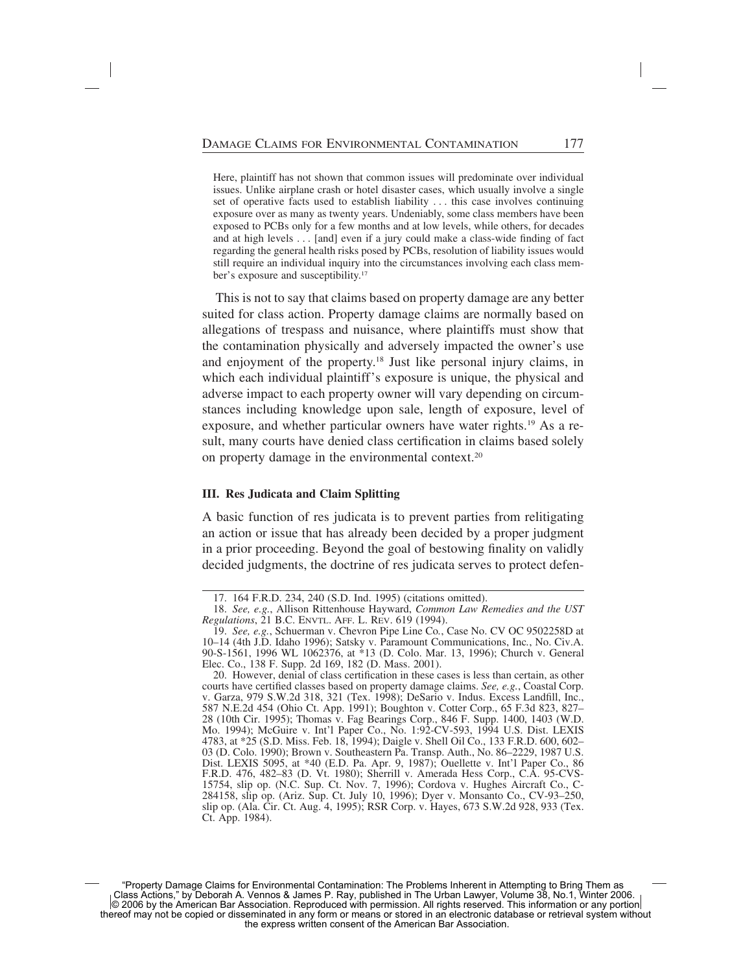Here, plaintiff has not shown that common issues will predominate over individual issues. Unlike airplane crash or hotel disaster cases, which usually involve a single set of operative facts used to establish liability . . . this case involves continuing exposure over as many as twenty years. Undeniably, some class members have been exposed to PCBs only for a few months and at low levels, while others, for decades and at high levels . . . [and] even if a jury could make a class-wide finding of fact regarding the general health risks posed by PCBs, resolution of liability issues would still require an individual inquiry into the circumstances involving each class member's exposure and susceptibility.<sup>17</sup>

This is not to say that claims based on property damage are any better suited for class action. Property damage claims are normally based on allegations of trespass and nuisance, where plaintiffs must show that the contamination physically and adversely impacted the owner's use and enjoyment of the property.18 Just like personal injury claims, in which each individual plaintiff's exposure is unique, the physical and adverse impact to each property owner will vary depending on circumstances including knowledge upon sale, length of exposure, level of exposure, and whether particular owners have water rights.19 As a result, many courts have denied class certification in claims based solely on property damage in the environmental context.20

#### **III. Res Judicata and Claim Splitting**

A basic function of res judicata is to prevent parties from relitigating an action or issue that has already been decided by a proper judgment in a prior proceeding. Beyond the goal of bestowing finality on validly decided judgments, the doctrine of res judicata serves to protect defen-

<sup>17. 164</sup> F.R.D. 234, 240 (S.D. Ind. 1995) (citations omitted).

<sup>18.</sup> *See, e.g.*, Allison Rittenhouse Hayward, *Common Law Remedies and the UST Regulations*, 21 B.C. ENVTL. AFF. L. REV. 619 (1994).

<sup>19.</sup> *See, e.g.*, Schuerman v. Chevron Pipe Line Co*.*, Case No. CV OC 9502258D at 10–14 (4th J.D. Idaho 1996); Satsky v. Paramount Communications, Inc*.*, No. Civ.A. 90-S-1561, 1996 WL 1062376, at \*13 (D. Colo. Mar. 13, 1996); Church v. General Elec. Co., 138 F. Supp. 2d 169, 182 (D. Mass. 2001).

<sup>20.</sup> However, denial of class certification in these cases is less than certain, as other courts have certified classes based on property damage claims. *See, e.g.*, Coastal Corp. v. Garza, 979 S.W.2d 318, 321 (Tex. 1998); DeSario v. Indus. Excess Landfill, Inc., 587 N.E.2d 454 (Ohio Ct. App. 1991); Boughton v. Cotter Corp., 65 F.3d 823, 827– 28 (10th Cir. 1995); Thomas v. Fag Bearings Corp., 846 F. Supp. 1400, 1403 (W.D. Mo. 1994); McGuire v. Int'l Paper Co., No. 1:92-CV-593, 1994 U.S. Dist. LEXIS 4783, at \*25 (S.D. Miss. Feb. 18, 1994); Daigle v. Shell Oil Co., 133 F.R.D. 600, 602– 03 (D. Colo. 1990); Brown v. Southeastern Pa. Transp. Auth., No. 86–2229, 1987 U.S. Dist. LEXIS 5095, at \*40 (E.D. Pa. Apr. 9, 1987); Ouellette v. Int'l Paper Co., 86 F.R.D. 476, 482–83 (D. Vt. 1980); Sherrill v. Amerada Hess Corp., C.A. 95-CVS-15754, slip op. (N.C. Sup. Ct. Nov. 7, 1996); Cordova v. Hughes Aircraft Co., C-284158, slip op. (Ariz. Sup. Ct. July 10, 1996); Dyer v. Monsanto Co., CV-93–250, slip op. (Ala. Cir. Ct. Aug. 4, 1995); RSR Corp. v. Hayes, 673 S.W.2d 928, 933 (Tex. Ct. App. 1984).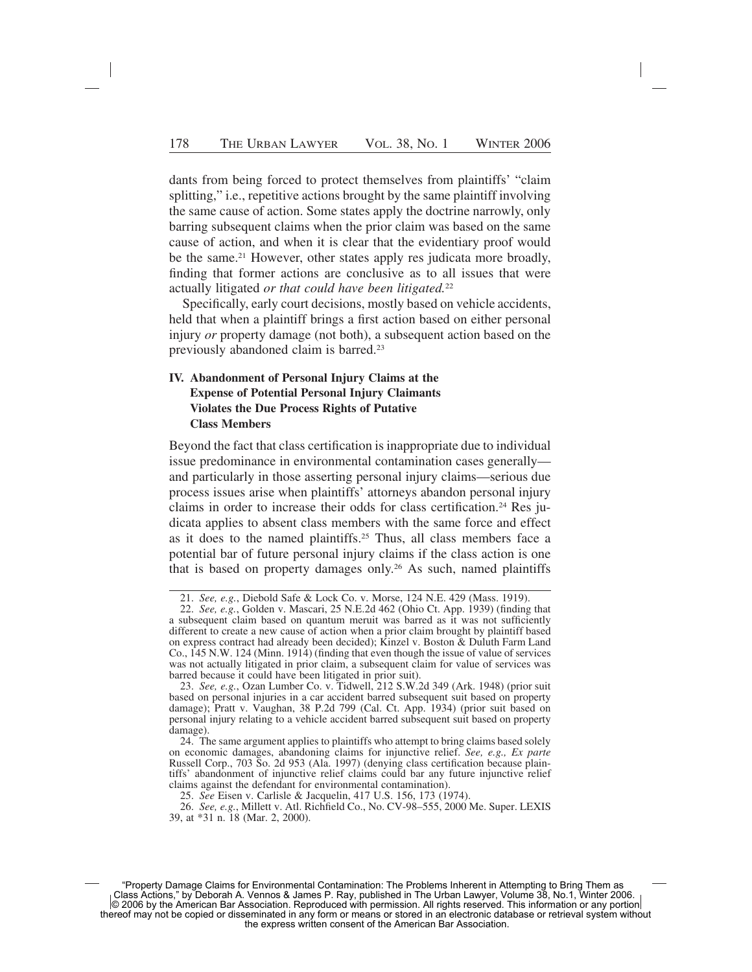dants from being forced to protect themselves from plaintiffs' "claim splitting," i.e., repetitive actions brought by the same plaintiff involving the same cause of action. Some states apply the doctrine narrowly, only barring subsequent claims when the prior claim was based on the same cause of action, and when it is clear that the evidentiary proof would be the same.<sup>21</sup> However, other states apply res judicata more broadly, finding that former actions are conclusive as to all issues that were actually litigated *or that could have been litigated.*<sup>22</sup>

Specifically, early court decisions, mostly based on vehicle accidents, held that when a plaintiff brings a first action based on either personal injury *or* property damage (not both), a subsequent action based on the previously abandoned claim is barred.<sup>23</sup>

## **IV. Abandonment of Personal Injury Claims at the Expense of Potential Personal Injury Claimants Violates the Due Process Rights of Putative Class Members**

Beyond the fact that class certification is inappropriate due to individual issue predominance in environmental contamination cases generally and particularly in those asserting personal injury claims—serious due process issues arise when plaintiffs' attorneys abandon personal injury claims in order to increase their odds for class certification.<sup>24</sup> Res judicata applies to absent class members with the same force and effect as it does to the named plaintiffs.25 Thus, all class members face a potential bar of future personal injury claims if the class action is one that is based on property damages only.26 As such, named plaintiffs

<sup>21.</sup> *See, e.g.*, Diebold Safe & Lock Co. v. Morse, 124 N.E. 429 (Mass. 1919).

<sup>22.</sup> *See, e.g.*, Golden v. Mascari, 25 N.E.2d 462 (Ohio Ct. App. 1939) (finding that a subsequent claim based on quantum meruit was barred as it was not sufficiently different to create a new cause of action when a prior claim brought by plaintiff based on express contract had already been decided); Kinzel v. Boston  $\&$  Duluth Farm Land Co., 145 N.W. 124 (Minn. 1914) (finding that even though the issue of value of services was not actually litigated in prior claim, a subsequent claim for value of services was barred because it could have been litigated in prior suit).

<sup>23.</sup> *See, e.g.*, Ozan Lumber Co. v. Tidwell, 212 S.W.2d 349 (Ark. 1948) (prior suit based on personal injuries in a car accident barred subsequent suit based on property damage); Pratt v. Vaughan, 38 P.2d 799 (Cal. Ct. App. 1934) (prior suit based on personal injury relating to a vehicle accident barred subsequent suit based on property damage).

<sup>24.</sup> The same argument applies to plaintiffs who attempt to bring claims based solely on economic damages, abandoning claims for injunctive relief. *See, e.g., Ex parte* Russell Corp., 703 So. 2d 953 (Ala. 1997) (denying class certification because plaintiffs' abandonment of injunctive relief claims could bar any future injunctive relief claims against the defendant for environmental contamination).

<sup>25.</sup> *See* Eisen v. Carlisle & Jacquelin, 417 U.S. 156, 173 (1974).

<sup>26.</sup> *See, e.g.*, Millett v. Atl. Richfield Co., No. CV-98–555, 2000 Me. Super. LEXIS 39, at \*31 n. 18 (Mar. 2, 2000).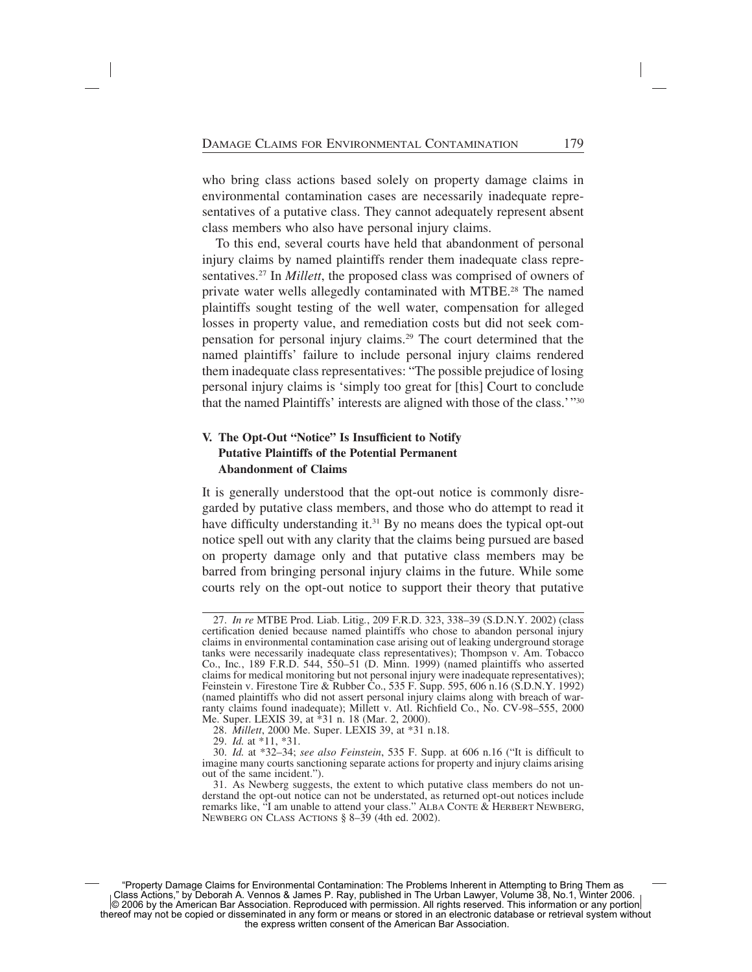who bring class actions based solely on property damage claims in environmental contamination cases are necessarily inadequate representatives of a putative class. They cannot adequately represent absent class members who also have personal injury claims.

To this end, several courts have held that abandonment of personal injury claims by named plaintiffs render them inadequate class representatives.27 In *Millett*, the proposed class was comprised of owners of private water wells allegedly contaminated with MTBE.<sup>28</sup> The named plaintiffs sought testing of the well water, compensation for alleged losses in property value, and remediation costs but did not seek compensation for personal injury claims.29 The court determined that the named plaintiffs' failure to include personal injury claims rendered them inadequate class representatives: "The possible prejudice of losing personal injury claims is 'simply too great for [this] Court to conclude that the named Plaintiffs' interests are aligned with those of the class.'"30

# **V. The Opt-Out "Notice" Is Insufficient to Notify Putative Plaintiffs of the Potential Permanent Abandonment of Claims**

It is generally understood that the opt-out notice is commonly disregarded by putative class members, and those who do attempt to read it have difficulty understanding it.<sup>31</sup> By no means does the typical opt-out notice spell out with any clarity that the claims being pursued are based on property damage only and that putative class members may be barred from bringing personal injury claims in the future. While some courts rely on the opt-out notice to support their theory that putative

<sup>27.</sup> *In re* MTBE Prod. Liab. Litig*.*, 209 F.R.D. 323, 338–39 (S.D.N.Y. 2002) (class certification denied because named plaintiffs who chose to abandon personal injury claims in environmental contamination case arising out of leaking underground storage tanks were necessarily inadequate class representatives); Thompson v. Am. Tobacco Co., Inc*.*, 189 F.R.D. 544, 550–51 (D. Minn. 1999) (named plaintiffs who asserted claims for medical monitoring but not personal injury were inadequate representatives); Feinstein v. Firestone Tire & Rubber Co., 535 F. Supp. 595, 606 n.16 (S.D.N.Y. 1992) (named plaintiffs who did not assert personal injury claims along with breach of warranty claims found inadequate); Millett v. Atl. Richfield Co., No. CV-98–555, 2000 Me. Super. LEXIS 39, at \*31 n. 18 (Mar. 2, 2000).

<sup>28.</sup> *Millett*, 2000 Me. Super. LEXIS 39, at \*31 n.18.

<sup>29.</sup> *Id.* at \*11, \*31.

<sup>30.</sup> *Id.* at \*32–34; *see also Feinstein*, 535 F. Supp. at 606 n.16 ("It is difficult to imagine many courts sanctioning separate actions for property and injury claims arising out of the same incident.").

<sup>31.</sup> As Newberg suggests, the extent to which putative class members do not understand the opt-out notice can not be understated, as returned opt-out notices include remarks like, "I am unable to attend your class." ALBA CONTE & HERBERT NEWBERG, NEWBERG ON CLASS ACTIONS § 8–39 (4th ed. 2002).